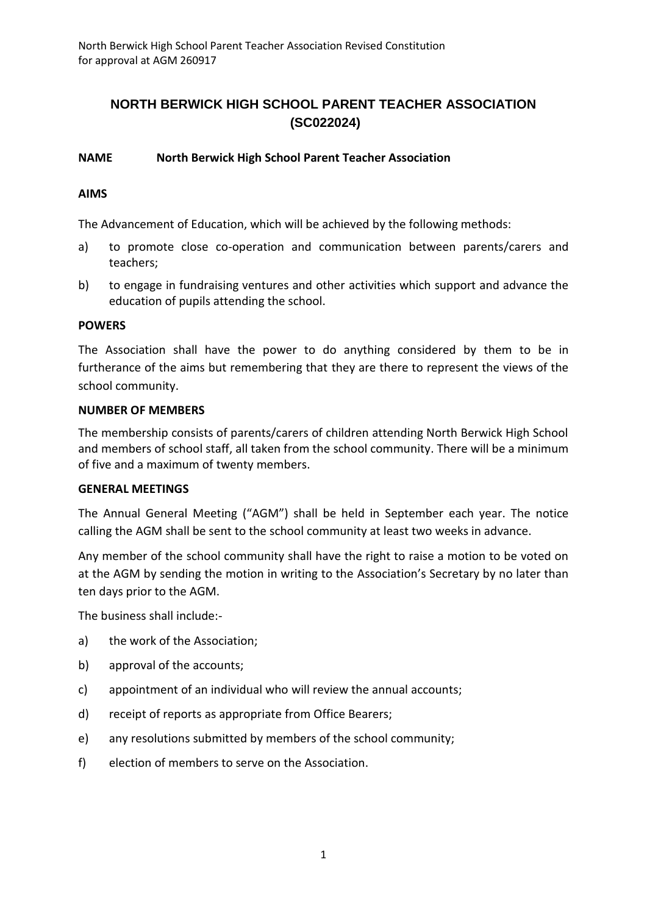# **NORTH BERWICK HIGH SCHOOL PARENT TEACHER ASSOCIATION (SC022024)**

## **NAME North Berwick High School Parent Teacher Association**

#### **AIMS**

The Advancement of Education, which will be achieved by the following methods:

- a) to promote close co-operation and communication between parents/carers and teachers;
- b) to engage in fundraising ventures and other activities which support and advance the education of pupils attending the school.

#### **POWERS**

The Association shall have the power to do anything considered by them to be in furtherance of the aims but remembering that they are there to represent the views of the school community.

#### **NUMBER OF MEMBERS**

The membership consists of parents/carers of children attending North Berwick High School and members of school staff, all taken from the school community. There will be a minimum of five and a maximum of twenty members.

#### **GENERAL MEETINGS**

The Annual General Meeting ("AGM") shall be held in September each year. The notice calling the AGM shall be sent to the school community at least two weeks in advance.

Any member of the school community shall have the right to raise a motion to be voted on at the AGM by sending the motion in writing to the Association's Secretary by no later than ten days prior to the AGM.

The business shall include:-

- a) the work of the Association;
- b) approval of the accounts;
- c) appointment of an individual who will review the annual accounts;
- d) receipt of reports as appropriate from Office Bearers;
- e) any resolutions submitted by members of the school community;
- f) election of members to serve on the Association.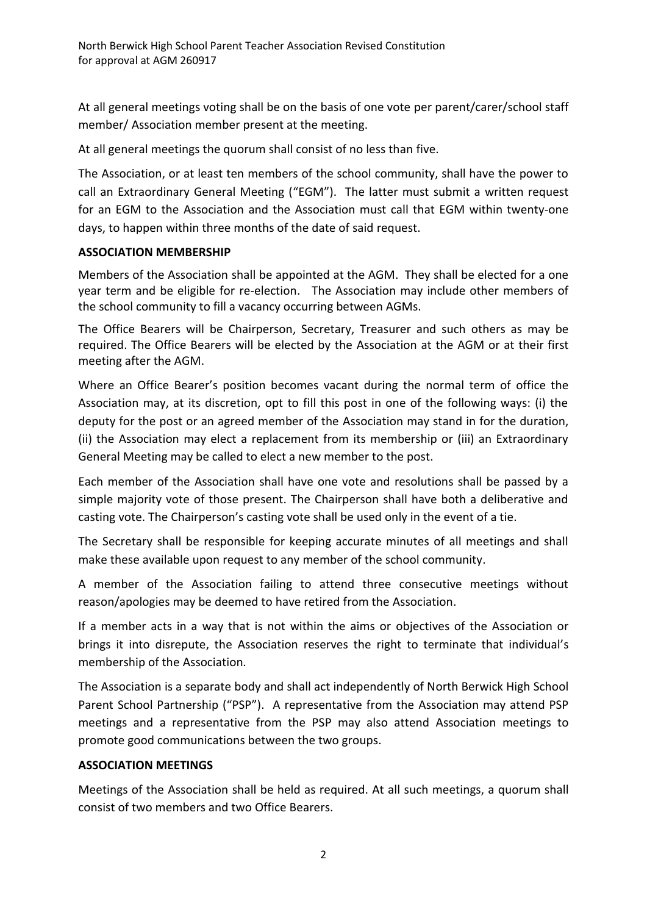At all general meetings voting shall be on the basis of one vote per parent/carer/school staff member/ Association member present at the meeting.

At all general meetings the quorum shall consist of no less than five.

The Association, or at least ten members of the school community, shall have the power to call an Extraordinary General Meeting ("EGM"). The latter must submit a written request for an EGM to the Association and the Association must call that EGM within twenty-one days, to happen within three months of the date of said request.

## **ASSOCIATION MEMBERSHIP**

Members of the Association shall be appointed at the AGM. They shall be elected for a one year term and be eligible for re-election. The Association may include other members of the school community to fill a vacancy occurring between AGMs.

The Office Bearers will be Chairperson, Secretary, Treasurer and such others as may be required. The Office Bearers will be elected by the Association at the AGM or at their first meeting after the AGM.

Where an Office Bearer's position becomes vacant during the normal term of office the Association may, at its discretion, opt to fill this post in one of the following ways: (i) the deputy for the post or an agreed member of the Association may stand in for the duration, (ii) the Association may elect a replacement from its membership or (iii) an Extraordinary General Meeting may be called to elect a new member to the post.

Each member of the Association shall have one vote and resolutions shall be passed by a simple majority vote of those present. The Chairperson shall have both a deliberative and casting vote. The Chairperson's casting vote shall be used only in the event of a tie.

The Secretary shall be responsible for keeping accurate minutes of all meetings and shall make these available upon request to any member of the school community.

A member of the Association failing to attend three consecutive meetings without reason/apologies may be deemed to have retired from the Association.

If a member acts in a way that is not within the aims or objectives of the Association or brings it into disrepute, the Association reserves the right to terminate that individual's membership of the Association*.*

The Association is a separate body and shall act independently of North Berwick High School Parent School Partnership ("PSP"). A representative from the Association may attend PSP meetings and a representative from the PSP may also attend Association meetings to promote good communications between the two groups.

## **ASSOCIATION MEETINGS**

Meetings of the Association shall be held as required. At all such meetings, a quorum shall consist of two members and two Office Bearers.